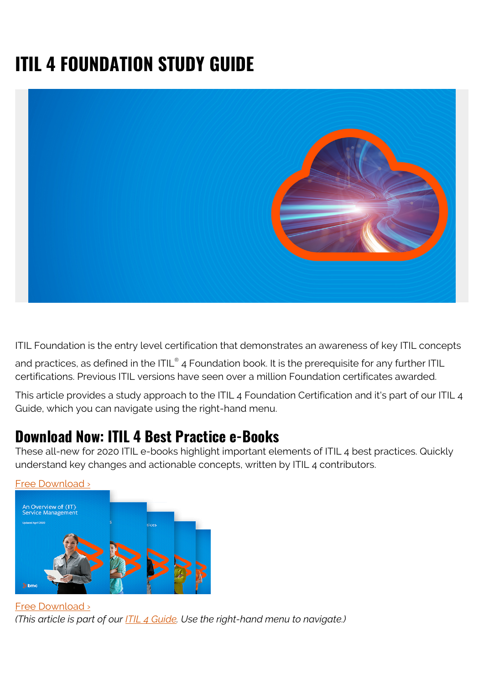# **ITIL 4 FOUNDATION STUDY GUIDE**



ITIL Foundation is the entry level certification that demonstrates an awareness of key ITIL concepts

and practices, as defined in the ITIL® 4 Foundation book. It is the prerequisite for any further ITIL certifications. Previous ITIL versions have seen over a million Foundation certificates awarded.

This article provides a study approach to the ITIL 4 Foundation Certification and it's part of our ITIL 4 Guide, which you can navigate using the right-hand menu.

#### **Download Now: ITIL 4 Best Practice e-Books**

These all-new for 2020 ITIL e-books highlight important elements of ITIL 4 best practices. Quickly understand key changes and actionable concepts, written by ITIL 4 contributors.



[Free Download ›](https://www.bmc.com/forms/itil-free-ebook.html) *(This article is part of our [ITIL 4 Guide](https://blogs.bmc.com/blogs/itil-4/). Use the right-hand menu to navigate.)*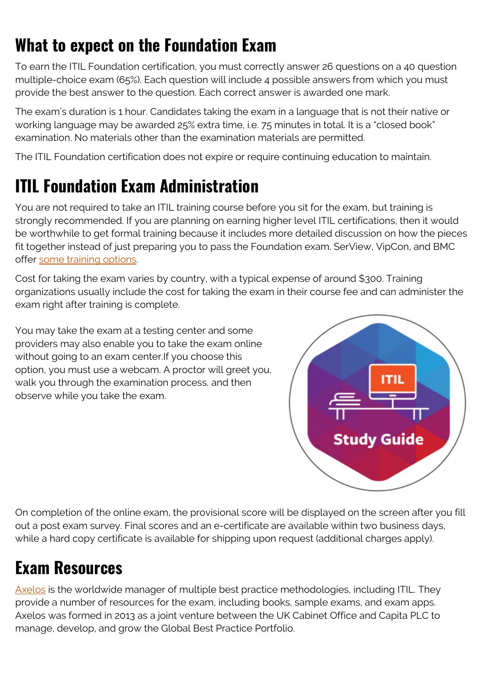# **What to expect on the Foundation Exam**

To earn the ITIL Foundation certification, you must correctly answer 26 questions on a 40 question multiple-choice exam (65%). Each question will include 4 possible answers from which you must provide the best answer to the question. Each correct answer is awarded one mark.

The exam's duration is 1 hour. Candidates taking the exam in a language that is not their native or working language may be awarded 25% extra time, i.e. 75 minutes in total. It is a "closed book" examination. No materials other than the examination materials are permitted.

The ITIL Foundation certification does not expire or require continuing education to maintain.

# **ITIL Foundation Exam Administration**

You are not required to take an ITIL training course before you sit for the exam, but training is strongly recommended. If you are planning on earning higher level ITIL certifications, then it would be worthwhile to get formal training because it includes more detailed discussion on how the pieces fit together instead of just preparing you to pass the Foundation exam. SerView, VipCon, and BMC offer [some training options.](https://web.archive.org/web/20200630112244/https://vipcon.com/de/newsroom/itil-schulung/)

Cost for taking the exam varies by country, with a typical expense of around \$300. Training organizations usually include the cost for taking the exam in their course fee and can administer the exam right after training is complete.

You may take the exam at a testing center and some providers may also enable you to take the exam online without going to an exam center.If you choose this option, you must use a webcam. A proctor will greet you, walk you through the examination process, and then observe while you take the exam.



On completion of the online exam, the provisional score will be displayed on the screen after you fill out a post exam survey. Final scores and an e-certificate are available within two business days, while a hard copy certificate is available for shipping upon request (additional charges apply).

# **Exam Resources**

[Axelos](https://www.axelos.com/) is the worldwide manager of multiple best practice methodologies, including ITIL. They provide a number of resources for the exam, including books, sample exams, and exam apps. Axelos was formed in 2013 as a joint venture between the UK Cabinet Office and Capita PLC to manage, develop, and grow the Global Best Practice Portfolio.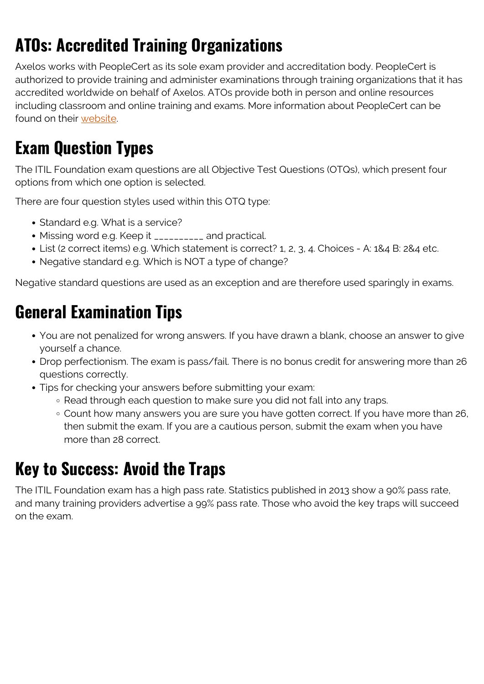# **ATOs: Accredited Training Organizations**

Axelos works with PeopleCert as its sole exam provider and accreditation body. PeopleCert is authorized to provide training and administer examinations through training organizations that it has accredited worldwide on behalf of Axelos. ATOs provide both in person and online resources including classroom and online training and exams. More information about PeopleCert can be found on their [website](https://www.peoplecert.org/browse-certifications/it-governance-and-service-management/itil-1/itil-foundation-476).

## **Exam Question Types**

The ITIL Foundation exam questions are all Objective Test Questions (OTQs), which present four options from which one option is selected.

There are four question styles used within this OTQ type:

- Standard e.g. What is a service?
- Missing word e.g. Keep it \_\_\_\_\_\_\_\_\_\_ and practical.
- List (2 correct items) e.g. Which statement is correct? 1, 2, 3, 4. Choices A: 1&4 B: 2&4 etc.
- Negative standard e.g. Which is NOT a type of change?

Negative standard questions are used as an exception and are therefore used sparingly in exams.

## **General Examination Tips**

- You are not penalized for wrong answers. If you have drawn a blank, choose an answer to give yourself a chance.
- Drop perfectionism. The exam is pass/fail. There is no bonus credit for answering more than 26 questions correctly.
- Tips for checking your answers before submitting your exam:
	- Read through each question to make sure you did not fall into any traps.
	- Count how many answers you are sure you have gotten correct. If you have more than 26, then submit the exam. If you are a cautious person, submit the exam when you have more than 28 correct.

## **Key to Success: Avoid the Traps**

The ITIL Foundation exam has a high pass rate. Statistics published in 2013 show a 90% pass rate, and many training providers advertise a 99% pass rate. Those who avoid the key traps will succeed on the exam.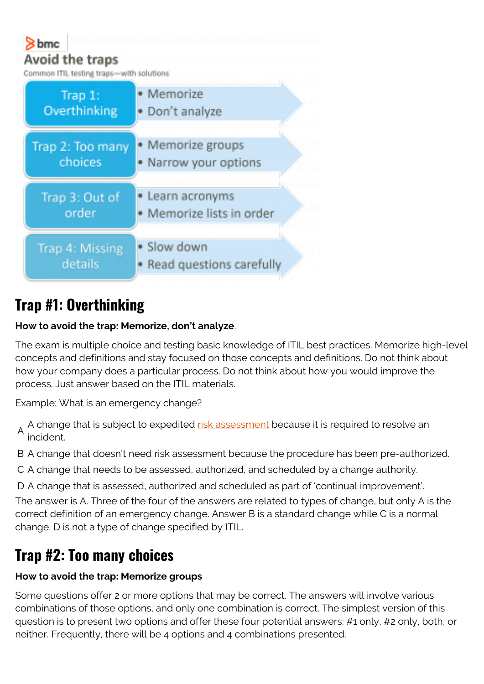

## **Trap #1: Overthinking**

#### **How to avoid the trap: Memorize, don't analyze**.

The exam is multiple choice and testing basic knowledge of ITIL best practices. Memorize high-level concepts and definitions and stay focused on those concepts and definitions. Do not think about how your company does a particular process. Do not think about how you would improve the process. Just answer based on the ITIL materials.

Example: What is an emergency change?

A A change that is subject to expedited [risk assessment](https://blogs.bmc.com/blogs/risk-assessment-vs-vulnerability-assessment/) because it is required to resolve an incident.

B A change that doesn't need risk assessment because the procedure has been pre-authorized.

C A change that needs to be assessed, authorized, and scheduled by a change authority.

D A change that is assessed, authorized and scheduled as part of 'continual improvement'.

The answer is A. Three of the four of the answers are related to types of change, but only A is the correct definition of an emergency change. Answer B is a standard change while C is a normal change. D is not a type of change specified by ITIL.

## **Trap #2: Too many choices**

#### **How to avoid the trap: Memorize groups**

Some questions offer 2 or more options that may be correct. The answers will involve various combinations of those options, and only one combination is correct. The simplest version of this question is to present two options and offer these four potential answers: #1 only, #2 only, both, or neither. Frequently, there will be 4 options and 4 combinations presented.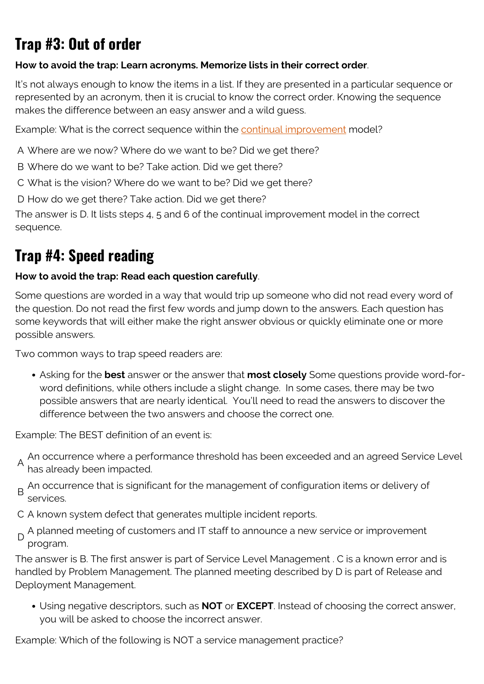## **Trap #3: Out of order**

#### **How to avoid the trap: Learn acronyms. Memorize lists in their correct order**.

It's not always enough to know the items in a list. If they are presented in a particular sequence or represented by an acronym, then it is crucial to know the correct order. Knowing the sequence makes the difference between an easy answer and a wild guess.

Example: What is the correct sequence within the [continual improvement](https://blogs.bmc.com/blogs/itil-continual-improvement/) model?

A Where are we now? Where do we want to be? Did we get there?

- B Where do we want to be? Take action. Did we get there?
- C What is the vision? Where do we want to be? Did we get there?

D How do we get there? Take action. Did we get there?

The answer is D. It lists steps 4, 5 and 6 of the continual improvement model in the correct sequence.

#### **Trap #4: Speed reading**

#### **How to avoid the trap: Read each question carefully**.

Some questions are worded in a way that would trip up someone who did not read every word of the question. Do not read the first few words and jump down to the answers. Each question has some keywords that will either make the right answer obvious or quickly eliminate one or more possible answers.

Two common ways to trap speed readers are:

Asking for the **best** answer or the answer that **most closely** Some questions provide word-forword definitions, while others include a slight change. In some cases, there may be two possible answers that are nearly identical. You'll need to read the answers to discover the difference between the two answers and choose the correct one.

Example: The BEST definition of an event is:

- A An occurrence where a performance threshold has been exceeded and an agreed Service Level has already been impacted.
- B An occurrence that is significant for the management of configuration items or delivery of services.
- C A known system defect that generates multiple incident reports.
- D A planned meeting of customers and IT staff to announce a new service or improvement program.

The answer is B. The first answer is part of Service Level Management . C is a known error and is handled by Problem Management. The planned meeting described by D is part of Release and Deployment Management.

Using negative descriptors, such as **NOT** or **EXCEPT**. Instead of choosing the correct answer, you will be asked to choose the incorrect answer.

Example: Which of the following is NOT a service management practice?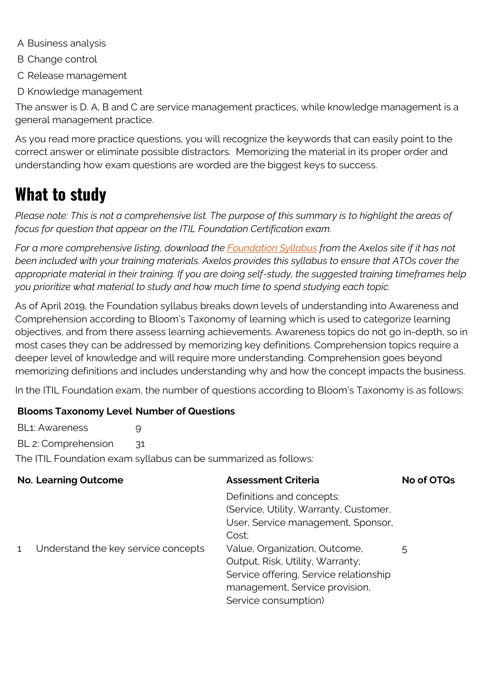- A Business analysis
- B Change control
- C Release management
- D Knowledge management

The answer is D. A, B and C are service management practices, while knowledge management is a general management practice.

As you read more practice questions, you will recognize the keywords that can easily point to the correct answer or eliminate possible distractors. Memorizing the material in its proper order and understanding how exam questions are worded are the biggest keys to success.

## **What to study**

*Please note: This is not a comprehensive list. The purpose of this summary is to highlight the areas of focus for question that appear on the ITIL Foundation Certification exam.*

*For a more comprehensive listing, download the [Foundation Syllabus](https://www.axelos.com/getmedia/9abec3eb-c4e0-4b61-90ca-10bab8f87faa/ITIL-4-candidate-syllabus.aspx) from the Axelos site if it has not been included with your training materials. Axelos provides this syllabus to ensure that ATOs cover the appropriate material in their training. If you are doing self-study, the suggested training timeframes help you prioritize what material to study and how much time to spend studying each topic.*

As of April 2019, the Foundation syllabus breaks down levels of understanding into Awareness and Comprehension according to Bloom's Taxonomy of learning which is used to categorize learning objectives, and from there assess learning achievements. Awareness topics do not go in-depth, so in most cases they can be addressed by memorizing key definitions. Comprehension topics require a deeper level of knowledge and will require more understanding. Comprehension goes beyond memorizing definitions and includes understanding why and how the concept impacts the business.

In the ITIL Foundation exam, the number of questions according to Bloom's Taxonomy is as follows:

#### **Blooms Taxonomy Level Number of Questions**

BL1: Awareness 9 BL 2: Comprehension 31 The ITIL Foundation exam syllabus can be summarized as follows:

| <b>No. Learning Outcome</b> |                                     | <b>Assessment Criteria</b>                                                                                                                                                                                                                                                                  | No of OTQs |
|-----------------------------|-------------------------------------|---------------------------------------------------------------------------------------------------------------------------------------------------------------------------------------------------------------------------------------------------------------------------------------------|------------|
| $\mathbf{1}$                | Understand the key service concepts | Definitions and concepts:<br>(Service, Utility, Warranty, Customer,<br>User, Service management, Sponsor,<br>Cost:<br>Value, Organization, Outcome,<br>Output, Risk, Utility, Warranty;<br>Service offering, Service relationship<br>management, Service provision,<br>Service consumption) | 5          |
|                             |                                     |                                                                                                                                                                                                                                                                                             |            |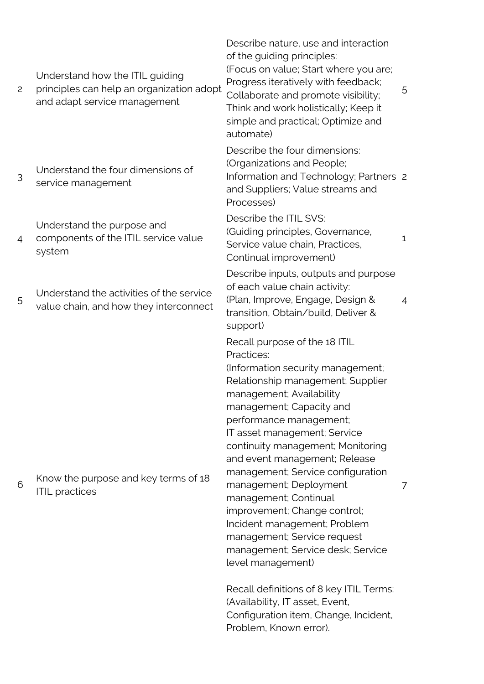Understand how the ITIL guiding

- 2 principles can help an organization adopt and adapt service management
- 3 Understand the four dimensions of service management

Understand the purpose and

- 4 components of the ITIL service value system
- 5 Understand the activities of the service value chain, and how they interconnect

6 Know the purpose and key terms of 18 ITIL practices

Describe nature, use and interaction of the guiding principles: (Focus on value; Start where you are; Progress iteratively with feedback; Collaborate and promote visibility; Think and work holistically; Keep it simple and practical; Optimize and automate) 5 Describe the four dimensions: (Organizations and People; Information and Technology; Partners 2 and Suppliers; Value streams and Processes) Describe the ITIL SVS: (Guiding principles, Governance, Service value chain, Practices, Continual improvement) 1 Describe inputs, outputs and purpose of each value chain activity: (Plan, Improve, Engage, Design & transition, Obtain/build, Deliver & support) 4 Recall purpose of the 18 ITIL Practices: (Information security management; Relationship management; Supplier management; Availability management; Capacity and performance management; IT asset management; Service continuity management; Monitoring and event management; Release management; Service configuration management; Deployment management; Continual improvement; Change control; Incident management; Problem management; Service request management; Service desk; Service level management) 7

Recall definitions of 8 key ITIL Terms: (Availability, IT asset, Event, Configuration item, Change, Incident, Problem, Known error).